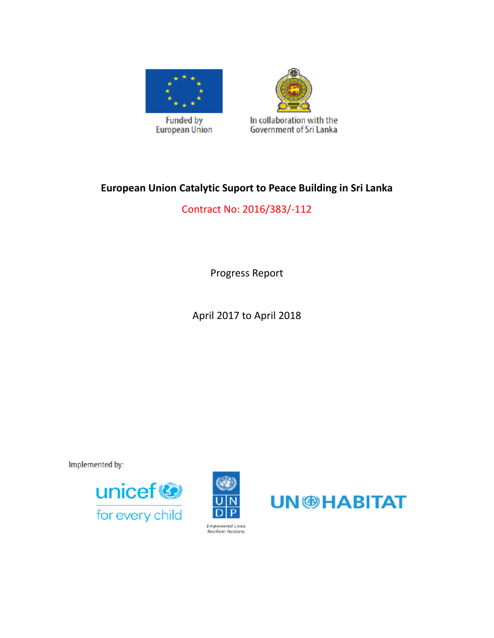



# **European Union Catalytic Suport to Peace Building in Sri Lanka**

Contract No: 2016/383/-112

Progress Report

April 2017 to April 2018

**Implemented by:** 





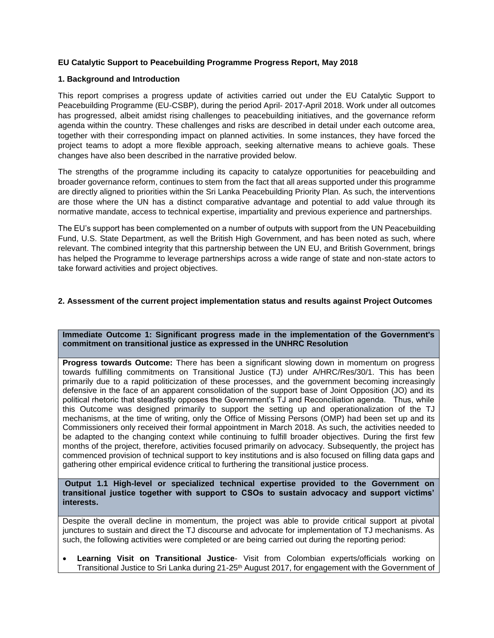## **EU Catalytic Support to Peacebuilding Programme Progress Report, May 2018**

#### **1. Background and Introduction**

This report comprises a progress update of activities carried out under the EU Catalytic Support to Peacebuilding Programme (EU-CSBP), during the period April- 2017-April 2018. Work under all outcomes has progressed, albeit amidst rising challenges to peacebuilding initiatives, and the governance reform agenda within the country. These challenges and risks are described in detail under each outcome area, together with their corresponding impact on planned activities. In some instances, they have forced the project teams to adopt a more flexible approach, seeking alternative means to achieve goals. These changes have also been described in the narrative provided below.

The strengths of the programme including its capacity to catalyze opportunities for peacebuilding and broader governance reform, continues to stem from the fact that all areas supported under this programme are directly aligned to priorities within the Sri Lanka Peacebuilding Priority Plan. As such, the interventions are those where the UN has a distinct comparative advantage and potential to add value through its normative mandate, access to technical expertise, impartiality and previous experience and partnerships.

The EU's support has been complemented on a number of outputs with support from the UN Peacebuilding Fund, U.S. State Department, as well the British High Government, and has been noted as such, where relevant. The combined integrity that this partnership between the UN EU, and British Government, brings has helped the Programme to leverage partnerships across a wide range of state and non-state actors to take forward activities and project objectives.

## **2. Assessment of the current project implementation status and results against Project Outcomes**

**Immediate Outcome 1: Significant progress made in the implementation of the Government's commitment on transitional justice as expressed in the UNHRC Resolution**

**Progress towards Outcome:** There has been a significant slowing down in momentum on progress towards fulfilling commitments on Transitional Justice (TJ) under A/HRC/Res/30/1. This has been primarily due to a rapid politicization of these processes, and the government becoming increasingly defensive in the face of an apparent consolidation of the support base of Joint Opposition (JO) and its political rhetoric that steadfastly opposes the Government's TJ and Reconciliation agenda. Thus, while this Outcome was designed primarily to support the setting up and operationalization of the TJ mechanisms, at the time of writing, only the Office of Missing Persons (OMP) had been set up and its Commissioners only received their formal appointment in March 2018. As such, the activities needed to be adapted to the changing context while continuing to fulfill broader objectives. During the first few months of the project, therefore, activities focused primarily on advocacy. Subsequently, the project has commenced provision of technical support to key institutions and is also focused on filling data gaps and gathering other empirical evidence critical to furthering the transitional justice process.

**Output 1.1 High-level or specialized technical expertise provided to the Government on transitional justice together with support to CSOs to sustain advocacy and support victims' interests.**

Despite the overall decline in momentum, the project was able to provide critical support at pivotal junctures to sustain and direct the TJ discourse and advocate for implementation of TJ mechanisms. As such, the following activities were completed or are being carried out during the reporting period:

 **Learning Visit on Transitional Justice**- Visit from Colombian experts/officials working on Transitional Justice to Sri Lanka during 21-25<sup>th</sup> August 2017, for engagement with the Government of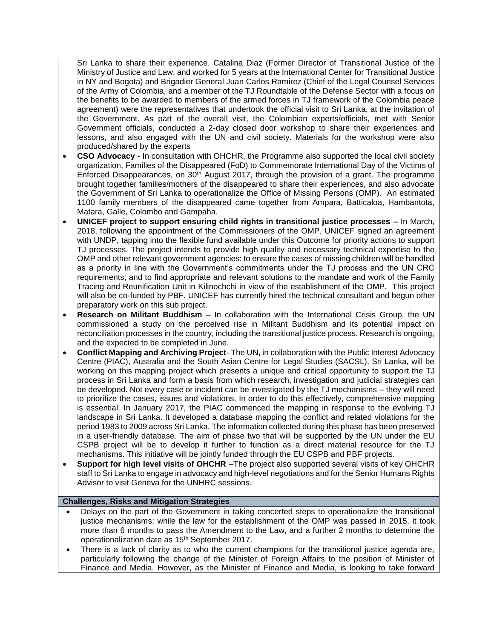Sri Lanka to share their experience. Catalina Diaz (Former Director of Transitional Justice of the Ministry of Justice and Law, and worked for 5 years at the International Center for Transitional Justice in NY and Bogota) and Brigadier General Juan Carlos Ramirez (Chief of the Legal Counsel Services of the Army of Colombia, and a member of the TJ Roundtable of the Defense Sector with a focus on the benefits to be awarded to members of the armed forces in TJ framework of the Colombia peace agreement) were the representatives that undertook the official visit to Sri Lanka, at the invitation of the Government. As part of the overall visit, the Colombian experts/officials, met with Senior Government officials, conducted a 2-day closed door workshop to share their experiences and lessons, and also engaged with the UN and civil society. Materials for the workshop were also produced/shared by the experts

- **CSO Advocacy**  In consultation with OHCHR, the Programme also supported the local civil society organization, Families of the Disappeared (FoD) to Commemorate International Day of the Victims of Enforced Disappearances, on 30<sup>th</sup> August 2017, through the provision of a grant. The programme brought together families/mothers of the disappeared to share their experiences, and also advocate the Government of Sri Lanka to operationalize the Office of Missing Persons (OMP). An estimated 1100 family members of the disappeared came together from Ampara, Batticaloa, Hambantota, Matara, Galle, Colombo and Gampaha.
- **UNICEF project to support ensuring child rights in transitional justice processes –** In March, 2018, following the appointment of the Commissioners of the OMP, UNICEF signed an agreement with UNDP, tapping into the flexible fund available under this Outcome for priority actions to support TJ processes. The project intends to provide high quality and necessary technical expertise to the OMP and other relevant government agencies: to ensure the cases of missing children will be handled as a priority in line with the Government's commitments under the TJ process and the UN CRC requirements; and to find appropriate and relevant solutions to the mandate and work of the Family Tracing and Reunification Unit in Kilinochchi in view of the establishment of the OMP. This project will also be co-funded by PBF. UNICEF has currently hired the technical consultant and begun other preparatory work on this sub project.
- **Research on Militant Buddhism** In collaboration with the International Crisis Group, the UN commissioned a study on the perceived rise in Militant Buddhism and its potential impact on reconciliation processes in the country, including the transitional justice process. Research is ongoing, and the expected to be completed in June.
- **Conflict Mapping and Archiving Project** The UN, in collaboration with the Public Interest Advocacy Centre (PIAC), Australia and the South Asian Centre for Legal Studies (SACSL), Sri Lanka, will be working on this mapping project which presents a unique and critical opportunity to support the TJ process in Sri Lanka and form a basis from which research, investigation and judicial strategies can be developed. Not every case or incident can be investigated by the TJ mechanisms – they will need to prioritize the cases, issues and violations. In order to do this effectively, comprehensive mapping is essential. In January 2017, the PIAC commenced the mapping in response to the evolving TJ landscape in Sri Lanka. It developed a database mapping the conflict and related violations for the period 1983 to 2009 across Sri Lanka. The information collected during this phase has been preserved in a user-friendly database. The aim of phase two that will be supported by the UN under the EU CSPB project will be to develop it further to function as a direct material resource for the TJ mechanisms. This initiative will be jointly funded through the EU CSPB and PBF projects.
- **Support for high level visits of OHCHR** –The project also supported several visits of key OHCHR staff to Sri Lanka to engage in advocacy and high-level negotiations and for the Senior Humans Rights Advisor to visit Geneva for the UNHRC sessions.

# **Challenges, Risks and Mitigation Strategies**

- Delays on the part of the Government in taking concerted steps to operationalize the transitional justice mechanisms: while the law for the establishment of the OMP was passed in 2015, it took more than 6 months to pass the Amendment to the Law, and a further 2 months to determine the operationalization date as 15th September 2017.
- There is a lack of clarity as to who the current champions for the transitional justice agenda are, particularly following the change of the Minister of Foreign Affairs to the position of Minister of Finance and Media. However, as the Minister of Finance and Media, is looking to take forward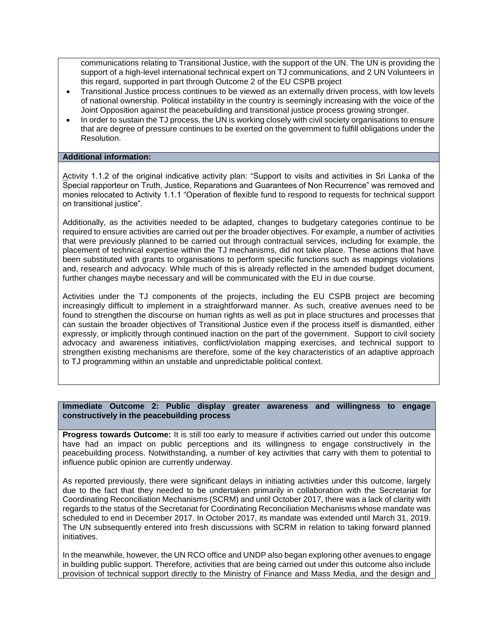communications relating to Transitional Justice, with the support of the UN. The UN is providing the support of a high-level international technical expert on TJ communications, and 2 UN Volunteers in this regard, supported in part through Outcome 2 of the EU CSPB project

- Transitional Justice process continues to be viewed as an externally driven process, with low levels of national ownership. Political instability in the country is seemingly increasing with the voice of the Joint Opposition against the peacebuilding and transitional justice process growing stronger.
- In order to sustain the TJ process, the UN is working closely with civil society organisations to ensure that are degree of pressure continues to be exerted on the government to fulfill obligations under the Resolution.

#### **Additional information:**

Activity 1.1.2 of the original indicative activity plan: "Support to visits and activities in Sri Lanka of the Special rapporteur on Truth, Justice, Reparations and Guarantees of Non Recurrence" was removed and monies relocated to Activity 1.1.1 "Operation of flexible fund to respond to requests for technical support on transitional justice".

Additionally, as the activities needed to be adapted, changes to budgetary categories continue to be required to ensure activities are carried out per the broader objectives. For example, a number of activities that were previously planned to be carried out through contractual services, including for example, the placement of technical expertise within the TJ mechanisms, did not take place. These actions that have been substituted with grants to organisations to perform specific functions such as mappings violations and, research and advocacy. While much of this is already reflected in the amended budget document, further changes maybe necessary and will be communicated with the EU in due course.

Activities under the TJ components of the projects, including the EU CSPB project are becoming increasingly difficult to implement in a straightforward manner. As such, creative avenues need to be found to strengthen the discourse on human rights as well as put in place structures and processes that can sustain the broader objectives of Transitional Justice even if the process itself is dismantled, either expressly, or implicitly through continued inaction on the part of the government. Support to civil society advocacy and awareness initiatives, conflict/violation mapping exercises, and technical support to strengthen existing mechanisms are therefore, some of the key characteristics of an adaptive approach to TJ programming within an unstable and unpredictable political context.

#### **Immediate Outcome 2: Public display greater awareness and willingness to engage constructively in the peacebuilding process**

**Progress towards Outcome:** It is still too early to measure if activities carried out under this outcome have had an impact on public perceptions and its willingness to engage constructively in the peacebuilding process. Notwithstanding, a number of key activities that carry with them to potential to influence public opinion are currently underway.

As reported previously, there were significant delays in initiating activities under this outcome, largely due to the fact that they needed to be undertaken primarily in collaboration with the Secretariat for Coordinating Reconciliation Mechanisms (SCRM) and until October 2017, there was a lack of clarity with regards to the status of the Secretariat for Coordinating Reconciliation Mechanisms whose mandate was scheduled to end in December 2017. In October 2017, its mandate was extended until March 31, 2019. The UN subsequently entered into fresh discussions with SCRM in relation to taking forward planned initiatives.

In the meanwhile, however, the UN RCO office and UNDP also began exploring other avenues to engage in building public support. Therefore, activities that are being carried out under this outcome also include provision of technical support directly to the Ministry of Finance and Mass Media, and the design and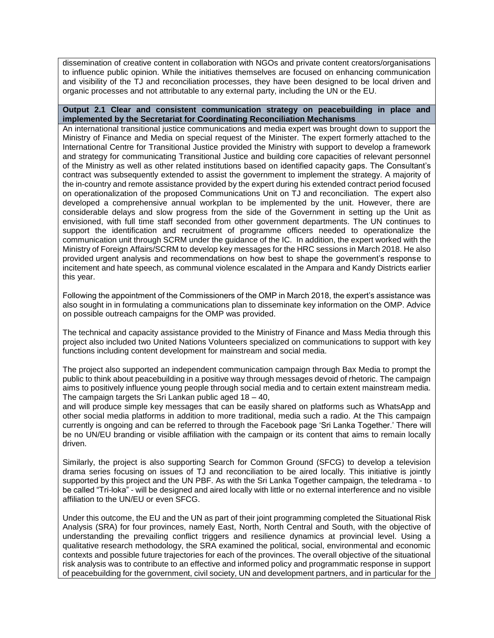dissemination of creative content in collaboration with NGOs and private content creators/organisations to influence public opinion. While the initiatives themselves are focused on enhancing communication and visibility of the TJ and reconciliation processes, they have been designed to be local driven and organic processes and not attributable to any external party, including the UN or the EU.

#### **Output 2.1 Clear and consistent communication strategy on peacebuilding in place and implemented by the Secretariat for Coordinating Reconciliation Mechanisms**

An international transitional justice communications and media expert was brought down to support the Ministry of Finance and Media on special request of the Minister. The expert formerly attached to the International Centre for Transitional Justice provided the Ministry with support to develop a framework and strategy for communicating Transitional Justice and building core capacities of relevant personnel of the Ministry as well as other related institutions based on identified capacity gaps. The Consultant's contract was subsequently extended to assist the government to implement the strategy. A majority of the in-country and remote assistance provided by the expert during his extended contract period focused on operationalization of the proposed Communications Unit on TJ and reconciliation. The expert also developed a comprehensive annual workplan to be implemented by the unit. However, there are considerable delays and slow progress from the side of the Government in setting up the Unit as envisioned, with full time staff seconded from other government departments. The UN continues to support the identification and recruitment of programme officers needed to operationalize the communication unit through SCRM under the guidance of the IC. In addition, the expert worked with the Ministry of Foreign Affairs/SCRM to develop key messages for the HRC sessions in March 2018. He also provided urgent analysis and recommendations on how best to shape the government's response to incitement and hate speech, as communal violence escalated in the Ampara and Kandy Districts earlier this year.

Following the appointment of the Commissioners of the OMP in March 2018, the expert's assistance was also sought in in formulating a communications plan to disseminate key information on the OMP. Advice on possible outreach campaigns for the OMP was provided.

The technical and capacity assistance provided to the Ministry of Finance and Mass Media through this project also included two United Nations Volunteers specialized on communications to support with key functions including content development for mainstream and social media.

The project also supported an independent communication campaign through Bax Media to prompt the public to think about peacebuilding in a positive way through messages devoid of rhetoric. The campaign aims to positively influence young people through social media and to certain extent mainstream media. The campaign targets the Sri Lankan public aged 18 – 40,

and will produce simple key messages that can be easily shared on platforms such as WhatsApp and other social media platforms in addition to more traditional, media such a radio. At the This campaign currently is ongoing and can be referred to through the Facebook page 'Sri Lanka Together.' There will be no UN/EU branding or visible affiliation with the campaign or its content that aims to remain locally driven.

Similarly, the project is also supporting Search for Common Ground (SFCG) to develop a television drama series focusing on issues of TJ and reconciliation to be aired locally. This initiative is jointly supported by this project and the UN PBF. As with the Sri Lanka Together campaign, the teledrama - to be called "Tri-loka" - will be designed and aired locally with little or no external interference and no visible affiliation to the UN/EU or even SFCG.

Under this outcome, the EU and the UN as part of their joint programming completed the Situational Risk Analysis (SRA) for four provinces, namely East, North, North Central and South, with the objective of understanding the prevailing conflict triggers and resilience dynamics at provincial level. Using a qualitative research methodology, the SRA examined the political, social, environmental and economic contexts and possible future trajectories for each of the provinces. The overall objective of the situational risk analysis was to contribute to an effective and informed policy and programmatic response in support of peacebuilding for the government, civil society, UN and development partners, and in particular for the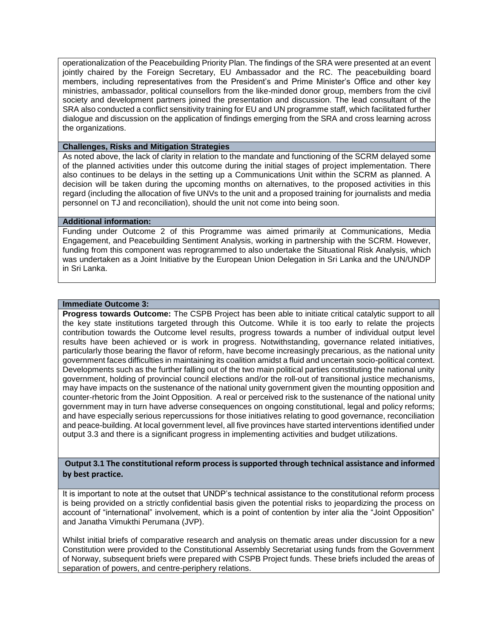operationalization of the Peacebuilding Priority Plan. The findings of the SRA were presented at an event jointly chaired by the Foreign Secretary, EU Ambassador and the RC. The peacebuilding board members, including representatives from the President's and Prime Minister's Office and other key ministries, ambassador, political counsellors from the like-minded donor group, members from the civil society and development partners joined the presentation and discussion. The lead consultant of the SRA also conducted a conflict sensitivity training for EU and UN programme staff, which facilitated further dialogue and discussion on the application of findings emerging from the SRA and cross learning across the organizations.

## **Challenges, Risks and Mitigation Strategies**

As noted above, the lack of clarity in relation to the mandate and functioning of the SCRM delayed some of the planned activities under this outcome during the initial stages of project implementation. There also continues to be delays in the setting up a Communications Unit within the SCRM as planned. A decision will be taken during the upcoming months on alternatives, to the proposed activities in this regard (including the allocation of five UNVs to the unit and a proposed training for journalists and media personnel on TJ and reconciliation), should the unit not come into being soon.

## **Additional information:**

Funding under Outcome 2 of this Programme was aimed primarily at Communications, Media Engagement, and Peacebuilding Sentiment Analysis, working in partnership with the SCRM. However, funding from this component was reprogrammed to also undertake the Situational Risk Analysis, which was undertaken as a Joint Initiative by the European Union Delegation in Sri Lanka and the UN/UNDP in Sri Lanka.

#### **Immediate Outcome 3:**

**Progress towards Outcome:** The CSPB Project has been able to initiate critical catalytic support to all the key state institutions targeted through this Outcome. While it is too early to relate the projects contribution towards the Outcome level results, progress towards a number of individual output level results have been achieved or is work in progress. Notwithstanding, governance related initiatives, particularly those bearing the flavor of reform, have become increasingly precarious, as the national unity government faces difficulties in maintaining its coalition amidst a fluid and uncertain socio-political context. Developments such as the further falling out of the two main political parties constituting the national unity government, holding of provincial council elections and/or the roll-out of transitional justice mechanisms, may have impacts on the sustenance of the national unity government given the mounting opposition and counter-rhetoric from the Joint Opposition. A real or perceived risk to the sustenance of the national unity government may in turn have adverse consequences on ongoing constitutional, legal and policy reforms; and have especially serious repercussions for those initiatives relating to good governance, reconciliation and peace-building. At local government level, all five provinces have started interventions identified under output 3.3 and there is a significant progress in implementing activities and budget utilizations.

**Output 3.1 The constitutional reform process is supported through technical assistance and informed by best practice.**

It is important to note at the outset that UNDP's technical assistance to the constitutional reform process is being provided on a strictly confidential basis given the potential risks to jeopardizing the process on account of "international" involvement, which is a point of contention by inter alia the "Joint Opposition" and Janatha Vimukthi Perumana (JVP).

Whilst initial briefs of comparative research and analysis on thematic areas under discussion for a new Constitution were provided to the Constitutional Assembly Secretariat using funds from the Government of Norway, subsequent briefs were prepared with CSPB Project funds. These briefs included the areas of separation of powers, and centre-periphery relations.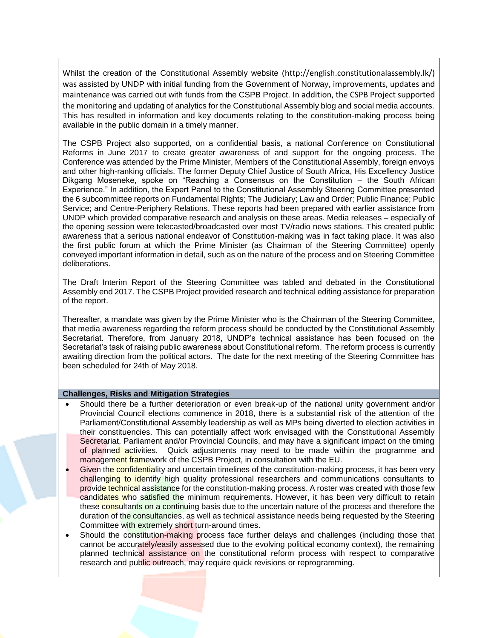Whilst the creation of the Constitutional Assembly website ([http://english.constitutionalassembly.lk/\)](http://english.constitutionalassembly.lk/) was assisted by UNDP with initial funding from the Government of Norway, improvements, updates and maintenance was carried out with funds from the CSPB Project. In addition, the CSPB Project supported the monitoring and updating of analytics for the Constitutional Assembly blog and social media accounts. This has resulted in information and key documents relating to the constitution-making process being available in the public domain in a timely manner.

The CSPB Project also supported, on a confidential basis, a national Conference on Constitutional Reforms in June 2017 to create greater awareness of and support for the ongoing process. The Conference was attended by the Prime Minister, Members of the Constitutional Assembly, foreign envoys and other high-ranking officials. The former Deputy Chief Justice of South Africa, His Excellency Justice Dikgang Moseneke, spoke on "Reaching a Consensus on the Constitution – the South African Experience." In addition, the Expert Panel to the Constitutional Assembly Steering Committee presented the 6 subcommittee reports on [Fundamental Rights;](http://english.constitutionalassembly.lk/sub-committees/reports/fundamental-rights) [The Judiciary;](http://english.constitutionalassembly.lk/sub-committees/reports/the-judiciary) [Law and Order;](http://english.constitutionalassembly.lk/sub-committees/reports/law-and-order) [Public Finance;](http://english.constitutionalassembly.lk/sub-committees/reports/public-finance) [Public](http://english.constitutionalassembly.lk/sub-committees/reports/public-service)  [Service;](http://english.constitutionalassembly.lk/sub-committees/reports/public-service) and [Centre-Periphery Relations.](http://english.constitutionalassembly.lk/sub-committees/reports/centre-periphery-relations) These reports had been prepared with earlier assistance from UNDP which provided comparative research and analysis on these areas. Media releases – especially of the opening session were telecasted/broadcasted over most TV/radio news stations. This created public awareness that a serious national endeavor of Constitution-making was in fact taking place. It was also the first public forum at which the Prime Minister (as Chairman of the Steering Committee) openly conveyed important information in detail, such as on the nature of the process and on Steering Committee deliberations.

The Draft Interim Report of the Steering Committee was tabled and debated in the Constitutional Assembly end 2017. The CSPB Project provided research and technical editing assistance for preparation of the report.

Thereafter, a mandate was given by the Prime Minister who is the Chairman of the Steering Committee, that media awareness regarding the reform process should be conducted by the Constitutional Assembly Secretariat. Therefore, from January 2018, UNDP's technical assistance has been focused on the Secretariat's task of raising public awareness about Constitutional reform. The reform process is currently awaiting direction from the political actors. The date for the next meeting of the Steering Committee has been scheduled for 24th of May 2018.

#### **Challenges, Risks and Mitigation Strategies**

- Should there be a further deterioration or even break-up of the national unity government and/or Provincial Council elections commence in 2018, there is a substantial risk of the attention of the Parliament/Constitutional Assembly leadership as well as MPs being diverted to election activities in their constituencies. This can potentially affect work envisaged with the Constitutional Assembly Secretariat, Parliament and/or Provincial Councils, and may have a significant impact on the timing of planned activities. Quick adjustments may need to be made within the programme and management framework of the CSPB Project, in consultation with the EU.
- Given the confidentiality and uncertain timelines of the constitution-making process, it has been very challenging to identify high quality professional researchers and communications consultants to provide technical assistance for the constitution-making process. A roster was created with those few candidates who satisfied the minimum requirements. However, it has been very difficult to retain these consultants on a continuing basis due to the uncertain nature of the process and therefore the duration of the consultancies, as well as technical assistance needs being requested by the Steering Committee with extremely short turn-around times.
- Should the constitution-making process face further delays and challenges (including those that cannot be accurately/easily assessed due to the evolving political economy context), the remaining planned technical assistance on the constitutional reform process with respect to comparative research and public outreach, may require quick revisions or reprogramming.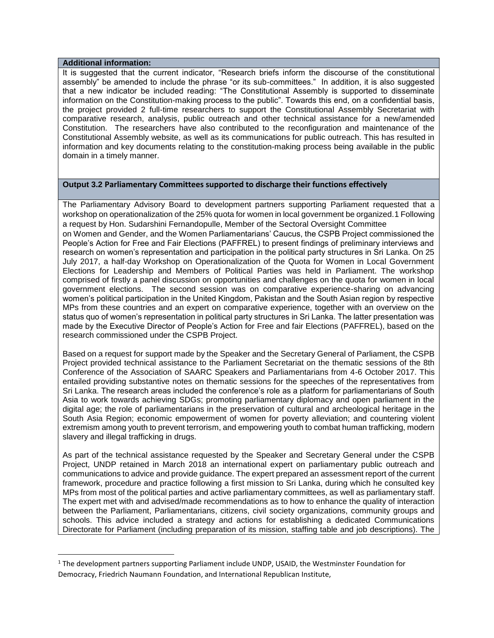#### **Additional information:**

 $\overline{a}$ 

It is suggested that the current indicator, "Research briefs inform the discourse of the constitutional assembly" be amended to include the phrase "or its sub-committees." In addition, it is also suggested that a new indicator be included reading: "The Constitutional Assembly is supported to disseminate information on the Constitution-making process to the public". Towards this end, on a confidential basis, the project provided 2 full-time researchers to support the Constitutional Assembly Secretariat with comparative research, analysis, public outreach and other technical assistance for a new/amended Constitution. The researchers have also contributed to the reconfiguration and maintenance of the Constitutional Assembly website, as well as its communications for public outreach. This has resulted in information and key documents relating to the constitution-making process being available in the public domain in a timely manner.

## **Output 3.2 Parliamentary Committees supported to discharge their functions effectively**

The Parliamentary Advisory Board to development partners supporting Parliament requested that a workshop on operationalization of the 25% quota for women in local government be organized.1 Following a request by Hon. Sudarshini Fernandopulle, Member of the Sectoral Oversight Committee on Women and Gender, and the Women Parliamentarians' Caucus, the CSPB Project commissioned the People's Action for Free and Fair Elections (PAFFREL) to present findings of preliminary interviews and research on women's representation and participation in the political party structures in Sri Lanka. On 25 July 2017, a half-day Workshop on Operationalization of the Quota for Women in Local Government Elections for Leadership and Members of Political Parties was held in Parliament. The workshop comprised of firstly a panel discussion on opportunities and challenges on the quota for women in local government elections. The second session was on comparative experience-sharing on advancing women's political participation in the United Kingdom, Pakistan and the South Asian region by respective MPs from these countries and an expert on comparative experience, together with an overview on the status quo of women's representation in political party structures in Sri Lanka. The latter presentation was made by the Executive Director of People's Action for Free and fair Elections (PAFFREL), based on the research commissioned under the CSPB Project.

Based on a request for support made by the Speaker and the Secretary General of Parliament, the CSPB Project provided technical assistance to the Parliament Secretariat on the thematic sessions of the 8th Conference of the Association of SAARC Speakers and Parliamentarians from 4-6 October 2017. This entailed providing substantive notes on thematic sessions for the speeches of the representatives from Sri Lanka. The research areas included the conference's role as a platform for parliamentarians of South Asia to work towards achieving SDGs; promoting parliamentary diplomacy and open parliament in the digital age; the role of parliamentarians in the preservation of cultural and archeological heritage in the South Asia Region; economic empowerment of women for poverty alleviation; and countering violent extremism among youth to prevent terrorism, and empowering youth to combat human trafficking, modern slavery and illegal trafficking in drugs.

As part of the technical assistance requested by the Speaker and Secretary General under the CSPB Project, UNDP retained in March 2018 an international expert on parliamentary public outreach and communications to advice and provide guidance. The expert prepared an assessment report of the current framework, procedure and practice following a first mission to Sri Lanka, during which he consulted key MPs from most of the political parties and active parliamentary committees, as well as parliamentary staff. The expert met with and advised/made recommendations as to how to enhance the quality of interaction between the Parliament, Parliamentarians, citizens, civil society organizations, community groups and schools. This advice included a strategy and actions for establishing a dedicated Communications Directorate for Parliament (including preparation of its mission, staffing table and job descriptions). The

<sup>&</sup>lt;sup>1</sup> The development partners supporting Parliament include UNDP, USAID, the Westminster Foundation for Democracy, Friedrich Naumann Foundation, and International Republican Institute,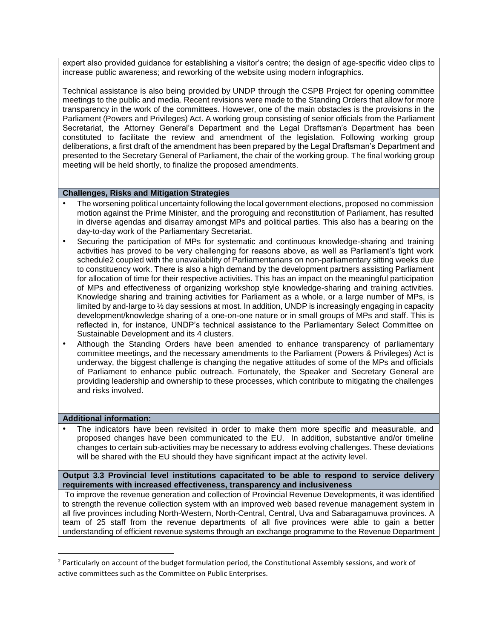expert also provided guidance for establishing a visitor's centre; the design of age-specific video clips to increase public awareness; and reworking of the website using modern infographics.

Technical assistance is also being provided by UNDP through the CSPB Project for opening committee meetings to the public and media. Recent revisions were made to the Standing Orders that allow for more transparency in the work of the committees. However, one of the main obstacles is the provisions in the Parliament (Powers and Privileges) Act. A working group consisting of senior officials from the Parliament Secretariat, the Attorney General's Department and the Legal Draftsman's Department has been constituted to facilitate the review and amendment of the legislation. Following working group deliberations, a first draft of the amendment has been prepared by the Legal Draftsman's Department and presented to the Secretary General of Parliament, the chair of the working group. The final working group meeting will be held shortly, to finalize the proposed amendments.

#### **Challenges, Risks and Mitigation Strategies**

- The worsening political uncertainty following the local government elections, proposed no commission motion against the Prime Minister, and the proroguing and reconstitution of Parliament, has resulted in diverse agendas and disarray amongst MPs and political parties. This also has a bearing on the day-to-day work of the Parliamentary Secretariat.
- Securing the participation of MPs for systematic and continuous knowledge-sharing and training activities has proved to be very challenging for reasons above, as well as Parliament's tight work schedule2 coupled with the unavailability of Parliamentarians on non-parliamentary sitting weeks due to constituency work. There is also a high demand by the development partners assisting Parliament for allocation of time for their respective activities. This has an impact on the meaningful participation of MPs and effectiveness of organizing workshop style knowledge-sharing and training activities. Knowledge sharing and training activities for Parliament as a whole, or a large number of MPs, is limited by and-large to  $\frac{1}{2}$  day sessions at most. In addition, UNDP is increasingly engaging in capacity development/knowledge sharing of a one-on-one nature or in small groups of MPs and staff. This is reflected in, for instance, UNDP's technical assistance to the Parliamentary Select Committee on Sustainable Development and its 4 clusters.
- Although the Standing Orders have been amended to enhance transparency of parliamentary committee meetings, and the necessary amendments to the Parliament (Powers & Privileges) Act is underway, the biggest challenge is changing the negative attitudes of some of the MPs and officials of Parliament to enhance public outreach. Fortunately, the Speaker and Secretary General are providing leadership and ownership to these processes, which contribute to mitigating the challenges and risks involved.

#### **Additional information:**

 $\overline{a}$ 

• The indicators have been revisited in order to make them more specific and measurable, and proposed changes have been communicated to the EU. In addition, substantive and/or timeline changes to certain sub-activities may be necessary to address evolving challenges. These deviations will be shared with the EU should they have significant impact at the activity level.

**Output 3.3 Provincial level institutions capacitated to be able to respond to service delivery requirements with increased effectiveness, transparency and inclusiveness** 

To improve the revenue generation and collection of Provincial Revenue Developments, it was identified to strength the revenue collection system with an improved web based revenue management system in all five provinces including North-Western, North-Central, Central, Uva and Sabaragamuwa provinces. A team of 25 staff from the revenue departments of all five provinces were able to gain a better understanding of efficient revenue systems through an exchange programme to the Revenue Department

<sup>&</sup>lt;sup>2</sup> Particularly on account of the budget formulation period, the Constitutional Assembly sessions, and work of active committees such as the Committee on Public Enterprises.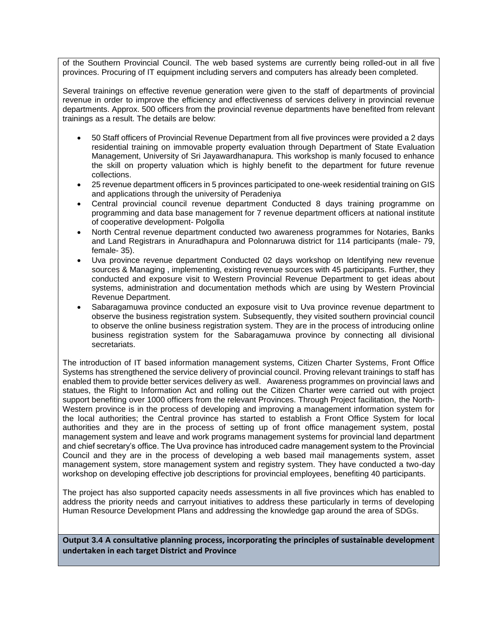of the Southern Provincial Council. The web based systems are currently being rolled-out in all five provinces. Procuring of IT equipment including servers and computers has already been completed.

Several trainings on effective revenue generation were given to the staff of departments of provincial revenue in order to improve the efficiency and effectiveness of services delivery in provincial revenue departments. Approx. 500 officers from the provincial revenue departments have benefited from relevant trainings as a result. The details are below:

- 50 Staff officers of Provincial Revenue Department from all five provinces were provided a 2 days residential training on immovable property evaluation through Department of State Evaluation Management, University of Sri Jayawardhanapura. This workshop is manly focused to enhance the skill on property valuation which is highly benefit to the department for future revenue collections.
- 25 revenue department officers in 5 provinces participated to one-week residential training on GIS and applications through the university of Peradeniya
- Central provincial council revenue department Conducted 8 days training programme on programming and data base management for 7 revenue department officers at national institute of cooperative development- Polgolla
- North Central revenue department conducted two awareness programmes for Notaries, Banks and Land Registrars in Anuradhapura and Polonnaruwa district for 114 participants (male- 79, female- 35).
- Uva province revenue department Conducted 02 days workshop on Identifying new revenue sources & Managing , implementing, existing revenue sources with 45 participants. Further, they conducted and exposure visit to Western Provincial Revenue Department to get ideas about systems, administration and documentation methods which are using by Western Provincial Revenue Department.
- Sabaragamuwa province conducted an exposure visit to Uva province revenue department to observe the business registration system. Subsequently, they visited southern provincial council to observe the online business registration system. They are in the process of introducing online business registration system for the Sabaragamuwa province by connecting all divisional secretariats.

The introduction of IT based information management systems, Citizen Charter Systems, Front Office Systems has strengthened the service delivery of provincial council. Proving relevant trainings to staff has enabled them to provide better services delivery as well. Awareness programmes on provincial laws and statues, the Right to Information Act and rolling out the Citizen Charter were carried out with project support benefiting over 1000 officers from the relevant Provinces. Through Project facilitation, the North-Western province is in the process of developing and improving a management information system for the local authorities; the Central province has started to establish a Front Office System for local authorities and they are in the process of setting up of front office management system, postal management system and leave and work programs management systems for provincial land department and chief secretary's office. The Uva province has introduced cadre management system to the Provincial Council and they are in the process of developing a web based mail managements system, asset management system, store management system and registry system. They have conducted a two-day workshop on developing effective job descriptions for provincial employees, benefiting 40 participants.

The project has also supported capacity needs assessments in all five provinces which has enabled to address the priority needs and carryout initiatives to address these particularly in terms of developing Human Resource Development Plans and addressing the knowledge gap around the area of SDGs.

**Output 3.4 A consultative planning process, incorporating the principles of sustainable development undertaken in each target District and Province**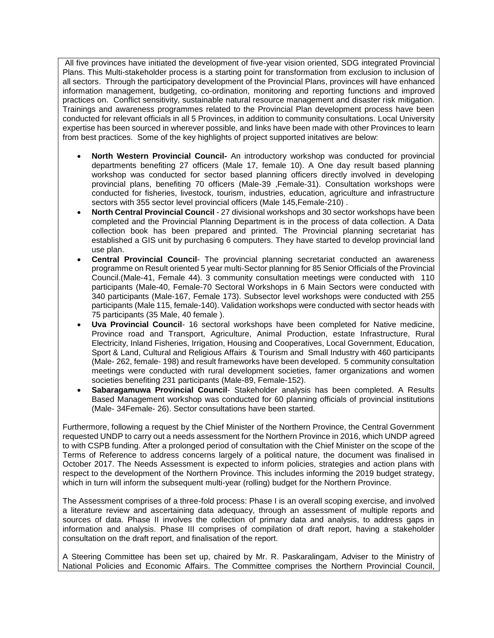All five provinces have initiated the development of five-year vision oriented, SDG integrated Provincial Plans. This Multi-stakeholder process is a starting point for transformation from exclusion to inclusion of all sectors. Through the participatory development of the Provincial Plans, provinces will have enhanced information management, budgeting, co-ordination, monitoring and reporting functions and improved practices on. Conflict sensitivity, sustainable natural resource management and disaster risk mitigation. Trainings and awareness programmes related to the Provincial Plan development process have been conducted for relevant officials in all 5 Provinces, in addition to community consultations. Local University expertise has been sourced in wherever possible, and links have been made with other Provinces to learn from best practices. Some of the key highlights of project supported initatives are below:

- **North Western Provincial Council-** An introductory workshop was conducted for provincial departments benefiting 27 officers (Male 17, female 10). A One day result based planning workshop was conducted for sector based planning officers directly involved in developing provincial plans, benefiting 70 officers (Male-39 ,Female-31). Consultation workshops were conducted for fisheries, livestock, tourism, industries, education, agriculture and infrastructure sectors with 355 sector level provincial officers (Male 145,Female-210) .
- **North Central Provincial Council** 27 divisional workshops and 30 sector workshops have been completed and the Provincial Planning Department is in the process of data collection. A Data collection book has been prepared and printed. The Provincial planning secretariat has established a GIS unit by purchasing 6 computers. They have started to develop provincial land use plan.
- **Central Provincial Council** The provincial planning secretariat conducted an awareness programme on Result oriented 5 year multi-Sector planning for 85 Senior Officials of the Provincial Council.(Male-41, Female 44). 3 community consultation meetings were conducted with 110 participants (Male-40, Female-70 Sectoral Workshops in 6 Main Sectors were conducted with 340 participants (Male-167, Female 173). Subsector level workshops were conducted with 255 participants (Male 115, female-140). Validation workshops were conducted with sector heads with 75 participants (35 Male, 40 female ).
- **Uva Provincial Council** 16 sectoral workshops have been completed for Native medicine, Province road and Transport, Agriculture, Animal Production, estate Infrastructure, Rural Electricity, Inland Fisheries, Irrigation, Housing and Cooperatives, Local Government, Education, Sport & Land, Cultural and Religious Affairs & Tourism and Small Industry with 460 participants (Male- 262, female- 198) and result frameworks have been developed. 5 community consultation meetings were conducted with rural development societies, famer organizations and women societies benefiting 231 participants (Male-89, Female-152).
- **Sabaragamuwa Provincial Council** Stakeholder analysis has been completed. A Results Based Management workshop was conducted for 60 planning officials of provincial institutions (Male- 34Female- 26). Sector consultations have been started.

Furthermore, following a request by the Chief Minister of the Northern Province, the Central Government requested UNDP to carry out a needs assessment for the Northern Province in 2016, which UNDP agreed to with CSPB funding. After a prolonged period of consultation with the Chief Minister on the scope of the Terms of Reference to address concerns largely of a political nature, the document was finalised in October 2017. The Needs Assessment is expected to inform policies, strategies and action plans with respect to the development of the Northern Province. This includes informing the 2019 budget strategy, which in turn will inform the subsequent multi-year (rolling) budget for the Northern Province.

The Assessment comprises of a three-fold process: Phase I is an overall scoping exercise, and involved a literature review and ascertaining data adequacy, through an assessment of multiple reports and sources of data. Phase II involves the collection of primary data and analysis, to address gaps in information and analysis. Phase III comprises of compilation of draft report, having a stakeholder consultation on the draft report, and finalisation of the report.

A Steering Committee has been set up, chaired by Mr. R. Paskaralingam, Adviser to the Ministry of National Policies and Economic Affairs. The Committee comprises the Northern Provincial Council,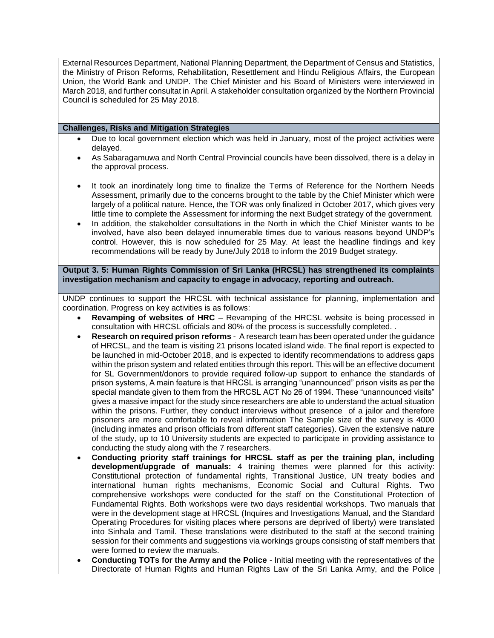External Resources Department, National Planning Department, the Department of Census and Statistics, the Ministry of Prison Reforms, Rehabilitation, Resettlement and Hindu Religious Affairs, the European Union, the World Bank and UNDP. The Chief Minister and his Board of Ministers were interviewed in March 2018, and further consultat in April. A stakeholder consultation organized by the Northern Provincial Council is scheduled for 25 May 2018.

## **Challenges, Risks and Mitigation Strategies**

- Due to local government election which was held in January, most of the project activities were delayed.
- As Sabaragamuwa and North Central Provincial councils have been dissolved, there is a delay in the approval process.
- It took an inordinately long time to finalize the Terms of Reference for the Northern Needs Assessment, primarily due to the concerns brought to the table by the Chief Minister which were largely of a political nature. Hence, the TOR was only finalized in October 2017, which gives very little time to complete the Assessment for informing the next Budget strategy of the government.
- In addition, the stakeholder consultations in the North in which the Chief Minister wants to be involved, have also been delayed innumerable times due to various reasons beyond UNDP's control. However, this is now scheduled for 25 May. At least the headline findings and key recommendations will be ready by June/July 2018 to inform the 2019 Budget strategy.

**Output 3. 5: Human Rights Commission of Sri Lanka (HRCSL) has strengthened its complaints investigation mechanism and capacity to engage in advocacy, reporting and outreach.**

UNDP continues to support the HRCSL with technical assistance for planning, implementation and coordination. Progress on key activities is as follows:

- **Revamping of websites of HRC** Revamping of the HRCSL website is being processed in consultation with HRCSL officials and 80% of the process is successfully completed. .
- **Research on required prison reforms** A research team has been operated under the guidance of HRCSL, and the team is visiting 21 prisons located island wide. The final report is expected to be launched in mid-October 2018, and is expected to identify recommendations to address gaps within the prison system and related entities through this report. This will be an effective document for SL Government/donors to provide required follow-up support to enhance the standards of prison systems, A main feature is that HRCSL is arranging "unannounced" prison visits as per the special mandate given to them from the HRCSL ACT No 26 of 1994. These "unannounced visits" gives a massive impact for the study since researchers are able to understand the actual situation within the prisons. Further, they conduct interviews without presence of a jailor and therefore prisoners are more comfortable to reveal information The Sample size of the survey is 4000 (including inmates and prison officials from different staff categories). Given the extensive nature of the study, up to 10 University students are expected to participate in providing assistance to conducting the study along with the 7 researchers.
- **Conducting priority staff trainings for HRCSL staff as per the training plan, including development/upgrade of manuals:** 4 training themes were planned for this activity: Constitutional protection of fundamental rights, Transitional Justice, UN treaty bodies and international human rights mechanisms, Economic Social and Cultural Rights. Two comprehensive workshops were conducted for the staff on the Constitutional Protection of Fundamental Rights. Both workshops were two days residential workshops. Two manuals that were in the development stage at HRCSL (Inquires and Investigations Manual, and the Standard Operating Procedures for visiting places where persons are deprived of liberty) were translated into Sinhala and Tamil. These translations were distributed to the staff at the second training session for their comments and suggestions via workings groups consisting of staff members that were formed to review the manuals.
- **Conducting TOTs for the Army and the Police** Initial meeting with the representatives of the Directorate of Human Rights and Human Rights Law of the Sri Lanka Army, and the Police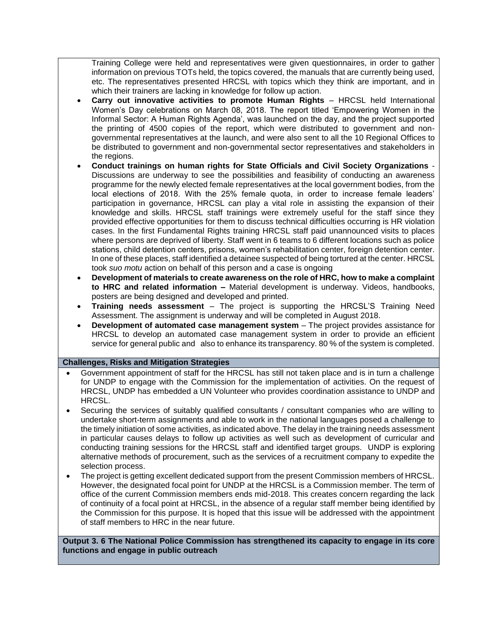Training College were held and representatives were given questionnaires, in order to gather information on previous TOTs held, the topics covered, the manuals that are currently being used, etc. The representatives presented HRCSL with topics which they think are important, and in which their trainers are lacking in knowledge for follow up action.

- **Carry out innovative activities to promote Human Rights** HRCSL held International Women's Day celebrations on March 08, 2018. The report titled 'Empowering Women in the Informal Sector: A Human Rights Agenda', was launched on the day, and the project supported the printing of 4500 copies of the report, which were distributed to government and nongovernmental representatives at the launch, and were also sent to all the 10 Regional Offices to be distributed to government and non-governmental sector representatives and stakeholders in the regions.
- **Conduct trainings on human rights for State Officials and Civil Society Organizations** Discussions are underway to see the possibilities and feasibility of conducting an awareness programme for the newly elected female representatives at the local government bodies, from the local elections of 2018. With the 25% female quota, in order to increase female leaders' participation in governance, HRCSL can play a vital role in assisting the expansion of their knowledge and skills. HRCSL staff trainings were extremely useful for the staff since they provided effective opportunities for them to discuss technical difficulties occurring is HR violation cases. In the first Fundamental Rights training HRCSL staff paid unannounced visits to places where persons are deprived of liberty. Staff went in 6 teams to 6 different locations such as police stations, child detention centers, prisons, women's rehabilitation center, foreign detention center. In one of these places, staff identified a detainee suspected of being tortured at the center. HRCSL took *suo motu* action on behalf of this person and a case is ongoing
- **Development of materials to create awareness on the role of HRC, how to make a complaint to HRC and related information –** Material development is underway. Videos, handbooks, posters are being designed and developed and printed.
- **Training needs assessment** The project is supporting the HRCSL'S Training Need Assessment. The assignment is underway and will be completed in August 2018.
- **Development of automated case management system** The project provides assistance for HRCSL to develop an automated case management system in order to provide an efficient service for general public and also to enhance its transparency. 80 % of the system is completed.

#### **Challenges, Risks and Mitigation Strategies**

- Government appointment of staff for the HRCSL has still not taken place and is in turn a challenge for UNDP to engage with the Commission for the implementation of activities. On the request of HRCSL, UNDP has embedded a UN Volunteer who provides coordination assistance to UNDP and HRCSL.
- Securing the services of suitably qualified consultants / consultant companies who are willing to undertake short-term assignments and able to work in the national languages posed a challenge to the timely initiation of some activities, as indicated above. The delay in the training needs assessment in particular causes delays to follow up activities as well such as development of curricular and conducting training sessions for the HRCSL staff and identified target groups. UNDP is exploring alternative methods of procurement, such as the services of a recruitment company to expedite the selection process.
- The project is getting excellent dedicated support from the present Commission members of HRCSL. However, the designated focal point for UNDP at the HRCSL is a Commission member. The term of office of the current Commission members ends mid-2018. This creates concern regarding the lack of continuity of a focal point at HRCSL, in the absence of a regular staff member being identified by the Commission for this purpose. It is hoped that this issue will be addressed with the appointment of staff members to HRC in the near future.

**Output 3. 6 The National Police Commission has strengthened its capacity to engage in its core functions and engage in public outreach**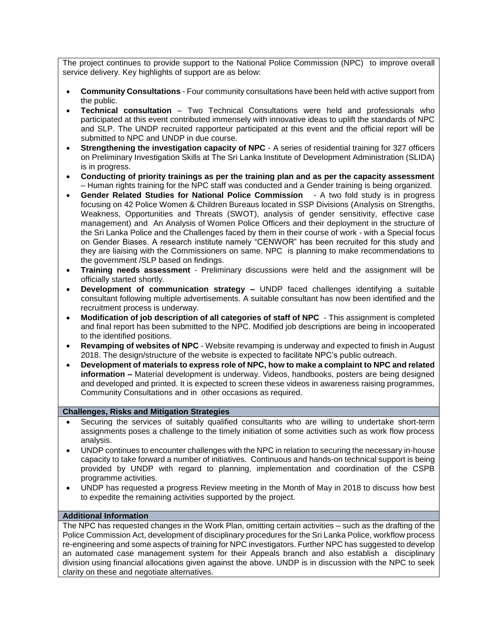The project continues to provide support to the National Police Commission (NPC) to improve overall service delivery. Key highlights of support are as below:

- **Community Consultations**  Four community consultations have been held with active support from the public.
- **Technical consultation** Two Technical Consultations were held and professionals who participated at this event contributed immensely with innovative ideas to uplift the standards of NPC and SLP. The UNDP recruited rapporteur participated at this event and the official report will be submitted to NPC and UNDP in due course.
- **Strengthening the investigation capacity of NPC** A series of residential training for 327 officers on Preliminary Investigation Skills at The Sri Lanka Institute of Development Administration (SLIDA) is in progress.
- **Conducting of priority trainings as per the training plan and as per the capacity assessment**  – Human rights training for the NPC staff was conducted and a Gender training is being organized.
- **Gender Related Studies for National Police Commission** A two fold study is in progress focusing on 42 Police Women & Children Bureaus located in SSP Divisions (Analysis on Strengths, Weakness, Opportunities and Threats (SWOT), analysis of gender sensitivity, effective case management) and An Analysis of Women Police Officers and their deployment in the structure of the Sri Lanka Police and the Challenges faced by them in their course of work - with a Special focus on Gender Biases. A research institute namely "CENWOR" has been recruited for this study and they are liaising with the Commissioners on same. NPC is planning to make recommendations to the government /SLP based on findings.
- **Training needs assessment** Preliminary discussions were held and the assignment will be officially started shortly.
- **Development of communication strategy –** UNDP faced challenges identifying a suitable consultant following multiple advertisements. A suitable consultant has now been identified and the recruitment process is underway.
- **Modification of job description of all categories of staff of NPC** This assignment is completed and final report has been submitted to the NPC. Modified job descriptions are being in incooperated to the identified positions.
- **Revamping of websites of NPC** Website revamping is underway and expected to finish in August 2018. The design/structure of the website is expected to facilitate NPC's public outreach.
- **Development of materials to express role of NPC, how to make a complaint to NPC and related information –** Material development is underway. Videos, handbooks, posters are being designed and developed and printed. It is expected to screen these videos in awareness raising programmes, Community Consultations and in other occasions as required.

## **Challenges, Risks and Mitigation Strategies**

- Securing the services of suitably qualified consultants who are willing to undertake short-term assignments poses a challenge to the timely initiation of some activities such as work flow process analysis.
- UNDP continues to encounter challenges with the NPC in relation to securing the necessary in-house capacity to take forward a number of initiatives. Continuous and hands-on technical support is being provided by UNDP with regard to planning, implementation and coordination of the CSPB programme activities.
- UNDP has requested a progress Review meeting in the Month of May in 2018 to discuss how best to expedite the remaining activities supported by the project.

#### **Additional Information**

The NPC has requested changes in the Work Plan, omitting certain activities – such as the drafting of the Police Commission Act, development of disciplinary procedures for the Sri Lanka Police, workflow process re-engineering and some aspects of training for NPC investigators. Further NPC has suggested to develop an automated case management system for their Appeals branch and also establish a disciplinary division using financial allocations given against the above. UNDP is in discussion with the NPC to seek clarity on these and negotiate alternatives.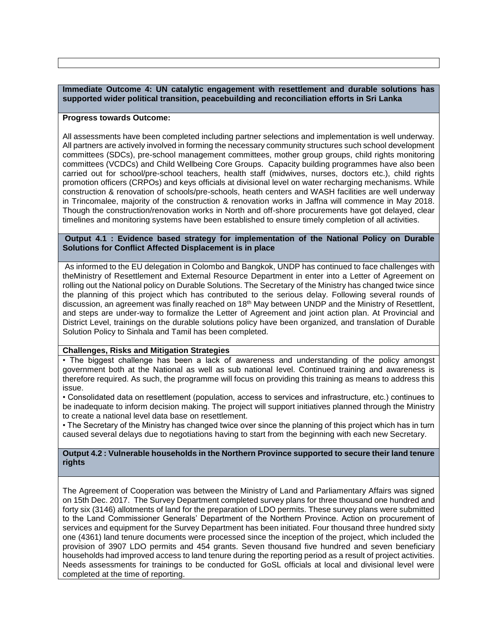**Immediate Outcome 4: UN catalytic engagement with resettlement and durable solutions has supported wider political transition, peacebuilding and reconciliation efforts in Sri Lanka**

#### **Progress towards Outcome:**

All assessments have been completed including partner selections and implementation is well underway. All partners are actively involved in forming the necessary community structures such school development committees (SDCs), pre-school management committees, mother group groups, child rights monitoring committees (VCDCs) and Child Wellbeing Core Groups. Capacity building programmes have also been carried out for school/pre-school teachers, health staff (midwives, nurses, doctors etc.), child rights promotion officers (CRPOs) and keys officials at divisional level on water recharging mechanisms. While construction & renovation of schools/pre-schools, heath centers and WASH facilities are well underway in Trincomalee, majority of the construction & renovation works in Jaffna will commence in May 2018. Though the construction/renovation works in North and off-shore procurements have got delayed, clear timelines and monitoring systems have been established to ensure timely completion of all activities.

#### **Output 4.1 : Evidence based strategy for implementation of the National Policy on Durable Solutions for Conflict Affected Displacement is in place**

As informed to the EU delegation in Colombo and Bangkok, UNDP has continued to face challenges with theMinistry of Resettlement and External Resource Department in enter into a Letter of Agreement on rolling out the National policy on Durable Solutions. The Secretary of the Ministry has changed twice since the planning of this project which has contributed to the serious delay. Following several rounds of discussion, an agreement was finally reached on 18<sup>th</sup> May between UNDP and the Ministry of Resettlent, and steps are under-way to formalize the Letter of Agreement and joint action plan. At Provincial and District Level, trainings on the durable solutions policy have been organized, and translation of Durable Solution Policy to Sinhala and Tamil has been completed.

#### **Challenges, Risks and Mitigation Strategies**

• The biggest challenge has been a lack of awareness and understanding of the policy amongst government both at the National as well as sub national level. Continued training and awareness is therefore required. As such, the programme will focus on providing this training as means to address this issue.

• Consolidated data on resettlement (population, access to services and infrastructure, etc.) continues to be inadequate to inform decision making. The project will support initiatives planned through the Ministry to create a national level data base on resettlement.

• The Secretary of the Ministry has changed twice over since the planning of this project which has in turn caused several delays due to negotiations having to start from the beginning with each new Secretary.

**Output 4.2 : Vulnerable households in the Northern Province supported to secure their land tenure rights** 

The Agreement of Cooperation was between the Ministry of Land and Parliamentary Affairs was signed on 15th Dec. 2017. The Survey Department completed survey plans for three thousand one hundred and forty six (3146) allotments of land for the preparation of LDO permits. These survey plans were submitted to the Land Commissioner Generals' Department of the Northern Province. Action on procurement of services and equipment for the Survey Department has been initiated. Four thousand three hundred sixty one (4361) land tenure documents were processed since the inception of the project, which included the provision of 3907 LDO permits and 454 grants. Seven thousand five hundred and seven beneficiary households had improved access to land tenure during the reporting period as a result of project activities. Needs assessments for trainings to be conducted for GoSL officials at local and divisional level were completed at the time of reporting.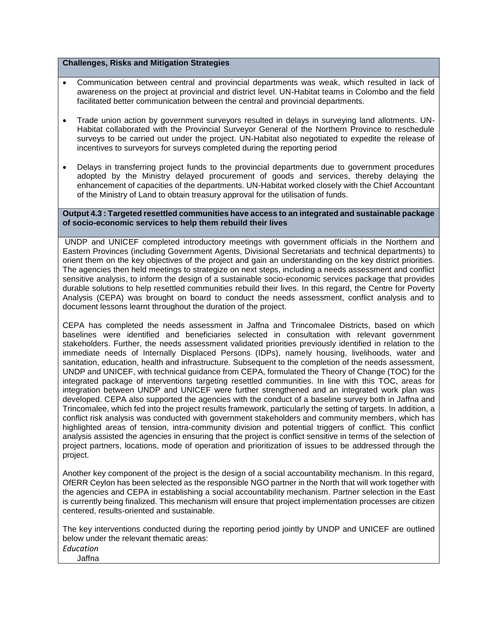#### **Challenges, Risks and Mitigation Strategies**

- Communication between central and provincial departments was weak, which resulted in lack of awareness on the project at provincial and district level. UN-Habitat teams in Colombo and the field facilitated better communication between the central and provincial departments.
- Trade union action by government surveyors resulted in delays in surveying land allotments. UN-Habitat collaborated with the Provincial Surveyor General of the Northern Province to reschedule surveys to be carried out under the project. UN-Habitat also negotiated to expedite the release of incentives to surveyors for surveys completed during the reporting period
- Delays in transferring project funds to the provincial departments due to government procedures adopted by the Ministry delayed procurement of goods and services, thereby delaying the enhancement of capacities of the departments. UN-Habitat worked closely with the Chief Accountant of the Ministry of Land to obtain treasury approval for the utilisation of funds.

#### **Output 4.3 : Targeted resettled communities have access to an integrated and sustainable package of socio-economic services to help them rebuild their lives**

UNDP and UNICEF completed introductory meetings with government officials in the Northern and Eastern Provinces (including Government Agents, Divisional Secretariats and technical departments) to orient them on the key objectives of the project and gain an understanding on the key district priorities. The agencies then held meetings to strategize on next steps, including a needs assessment and conflict sensitive analysis, to inform the design of a sustainable socio-economic services package that provides durable solutions to help resettled communities rebuild their lives. In this regard, the Centre for Poverty Analysis (CEPA) was brought on board to conduct the needs assessment, conflict analysis and to document lessons learnt throughout the duration of the project.

CEPA has completed the needs assessment in Jaffna and Trincomalee Districts, based on which baselines were identified and beneficiaries selected in consultation with relevant government stakeholders. Further, the needs assessment validated priorities previously identified in relation to the immediate needs of Internally Displaced Persons (IDPs), namely housing, livelihoods, water and sanitation, education, health and infrastructure. Subsequent to the completion of the needs assessment, UNDP and UNICEF, with technical guidance from CEPA, formulated the Theory of Change (TOC) for the integrated package of interventions targeting resettled communities. In line with this TOC, areas for integration between UNDP and UNICEF were further strengthened and an integrated work plan was developed. CEPA also supported the agencies with the conduct of a baseline survey both in Jaffna and Trincomalee, which fed into the project results framework, particularly the setting of targets. In addition, a conflict risk analysis was conducted with government stakeholders and community members, which has highlighted areas of tension, intra-community division and potential triggers of conflict. This conflict analysis assisted the agencies in ensuring that the project is conflict sensitive in terms of the selection of project partners, locations, mode of operation and prioritization of issues to be addressed through the project.

Another key component of the project is the design of a social accountability mechanism. In this regard, OfERR Ceylon has been selected as the responsible NGO partner in the North that will work together with the agencies and CEPA in establishing a social accountability mechanism. Partner selection in the East is currently being finalized. This mechanism will ensure that project implementation processes are citizen centered, results-oriented and sustainable.

The key interventions conducted during the reporting period jointly by UNDP and UNICEF are outlined below under the relevant thematic areas: *Education*  Jaffna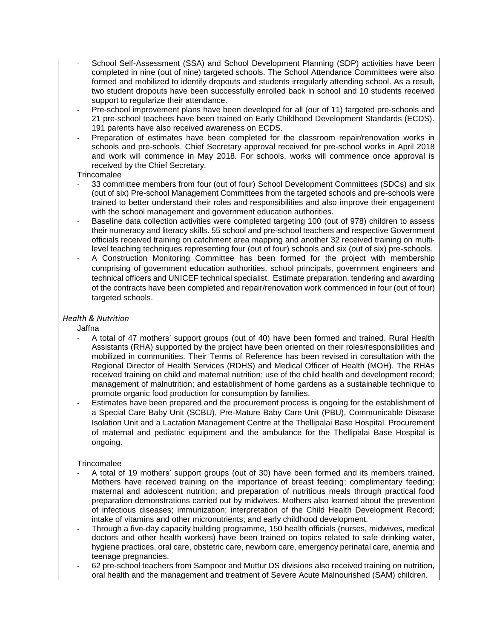- School Self-Assessment (SSA) and School Development Planning (SDP) activities have been completed in nine (out of nine) targeted schools. The School Attendance Committees were also formed and mobilized to identify dropouts and students irregularly attending school. As a result, two student dropouts have been successfully enrolled back in school and 10 students received support to regularize their attendance.
- Pre-school improvement plans have been developed for all (our of 11) targeted pre-schools and 21 pre-school teachers have been trained on Early Childhood Development Standards (ECDS). 191 parents have also received awareness on ECDS.
- Preparation of estimates have been completed for the classroom repair/renovation works in schools and pre-schools. Chief Secretary approval received for pre-school works in April 2018 and work will commence in May 2018. For schools, works will commence once approval is received by the Chief Secretary.

#### **Trincomalee**

- 33 committee members from four (out of four) School Development Committees (SDCs) and six (out of six) Pre-school Management Committees from the targeted schools and pre-schools were trained to better understand their roles and responsibilities and also improve their engagement with the school management and government education authorities.
- Baseline data collection activities were completed targeting 100 (out of 978) children to assess their numeracy and literacy skills. 55 school and pre-school teachers and respective Government officials received training on catchment area mapping and another 32 received training on multilevel teaching techniques representing four (out of four) schools and six (out of six) pre-schools.
- A Construction Monitoring Committee has been formed for the project with membership comprising of government education authorities, school principals, government engineers and technical officers and UNICEF technical specialist. Estimate preparation, tendering and awarding of the contracts have been completed and repair/renovation work commenced in four (out of four) targeted schools.

## *Health & Nutrition*

Jaffna

- A total of 47 mothers' support groups (out of 40) have been formed and trained. Rural Health Assistants (RHA) supported by the project have been oriented on their roles/responsibilities and mobilized in communities. Their Terms of Reference has been revised in consultation with the Regional Director of Health Services (RDHS) and Medical Officer of Health (MOH). The RHAs received training on child and maternal nutrition; use of the child health and development record; management of malnutrition; and establishment of home gardens as a sustainable technique to promote organic food production for consumption by families.
- Estimates have been prepared and the procurement process is ongoing for the establishment of a Special Care Baby Unit (SCBU), Pre-Mature Baby Care Unit (PBU), Communicable Disease Isolation Unit and a Lactation Management Centre at the Thellipalai Base Hospital. Procurement of maternal and pediatric equipment and the ambulance for the Thellipalai Base Hospital is ongoing.

## **Trincomalee**

- A total of 19 mothers' support groups (out of 30) have been formed and its members trained. Mothers have received training on the importance of breast feeding; complimentary feeding; maternal and adolescent nutrition; and preparation of nutritious meals through practical food preparation demonstrations carried out by midwives. Mothers also learned about the prevention of infectious diseases; immunization; interpretation of the Child Health Development Record; intake of vitamins and other micronutrients; and early childhood development.
- Through a five-day capacity building programme, 150 health officials (nurses, midwives, medical doctors and other health workers) have been trained on topics related to safe drinking water, hygiene practices, oral care, obstetric care, newborn care, emergency perinatal care, anemia and teenage pregnancies.
- 62 pre-school teachers from Sampoor and Muttur DS divisions also received training on nutrition, oral health and the management and treatment of Severe Acute Malnourished (SAM) children.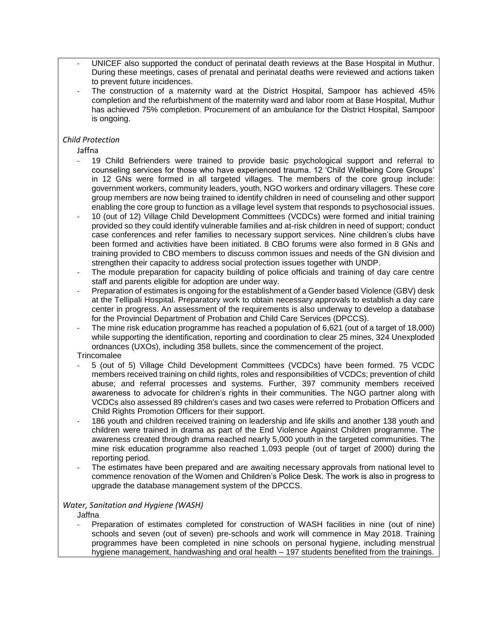- UNICEF also supported the conduct of perinatal death reviews at the Base Hospital in Muthur. During these meetings, cases of prenatal and perinatal deaths were reviewed and actions taken to prevent future incidences.
- The construction of a maternity ward at the District Hospital, Sampoor has achieved 45% completion and the refurbishment of the maternity ward and labor room at Base Hospital, Muthur has achieved 75% completion. Procurement of an ambulance for the District Hospital, Sampoor is ongoing.

## *Child Protection*

Jaffna

- 19 Child Befrienders were trained to provide basic psychological support and referral to counseling services for those who have experienced trauma. 12 'Child Wellbeing Core Groups' in 12 GNs were formed in all targeted villages. The members of the core group include: government workers, community leaders, youth, NGO workers and ordinary villagers. These core group members are now being trained to identify children in need of counseling and other support enabling the core group to function as a village level system that responds to psychosocial issues.
- 10 (out of 12) Village Child Development Committees (VCDCs) were formed and initial training provided so they could identify vulnerable families and at-risk children in need of support; conduct case conferences and refer families to necessary support services. Nine children's clubs have been formed and activities have been initiated. 8 CBO forums were also formed in 8 GNs and training provided to CBO members to discuss common issues and needs of the GN division and strengthen their capacity to address social protection issues together with UNDP.
- The module preparation for capacity building of police officials and training of day care centre staff and parents eligible for adoption are under way.
- Preparation of estimates is ongoing for the establishment of a Gender based Violence (GBV) desk at the Tellipali Hospital. Preparatory work to obtain necessary approvals to establish a day care center in progress. An assessment of the requirements is also underway to develop a database for the Provincial Department of Probation and Child Care Services (DPCCS).
- The mine risk education programme has reached a population of 6,621 (out of a target of 18,000) while supporting the identification, reporting and coordination to clear 25 mines, 324 Unexploded ordnances (UXOs), including 358 bullets, since the commencement of the project.

**Trincomalee** 

- 5 (out of 5) Village Child Development Committees (VCDCs) have been formed. 75 VCDC members received training on child rights, roles and responsibilities of VCDCs; prevention of child abuse; and referral processes and systems. Further, 397 community members received awareness to advocate for children's rights in their communities. The NGO partner along with VCDCs also assessed 89 children's cases and two cases were referred to Probation Officers and Child Rights Promotion Officers for their support.
- 186 youth and children received training on leadership and life skills and another 138 youth and children were trained in drama as part of the End Violence Against Children programme. The awareness created through drama reached nearly 5,000 youth in the targeted communities. The mine risk education programme also reached 1,093 people (out of target of 2000) during the reporting period.
- The estimates have been prepared and are awaiting necessary approvals from national level to commence renovation of the Women and Children's Police Desk. The work is also in progress to upgrade the database management system of the DPCCS.

## *Water, Sanitation and Hygiene (WASH)*

Jaffna

Preparation of estimates completed for construction of WASH facilities in nine (out of nine) schools and seven (out of seven) pre-schools and work will commence in May 2018. Training programmes have been completed in nine schools on personal hygiene, including menstrual hygiene management, handwashing and oral health – 197 students benefited from the trainings.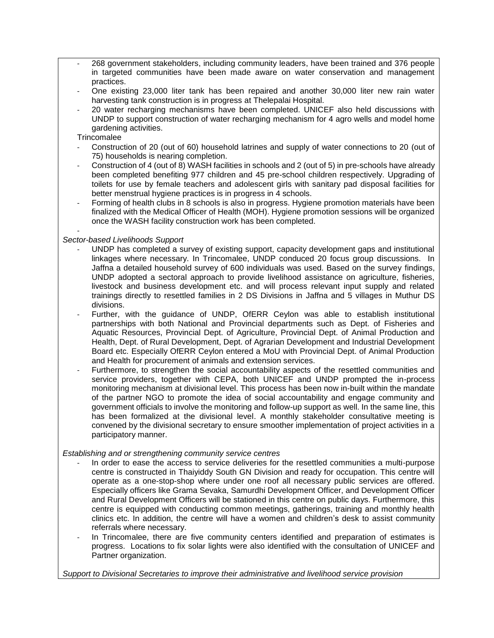- 268 government stakeholders, including community leaders, have been trained and 376 people in targeted communities have been made aware on water conservation and management practices.
- One existing 23,000 liter tank has been repaired and another 30,000 liter new rain water harvesting tank construction is in progress at Thelepalai Hospital.
- 20 water recharging mechanisms have been completed. UNICEF also held discussions with UNDP to support construction of water recharging mechanism for 4 agro wells and model home gardening activities.

**Trincomalee** 

- Construction of 20 (out of 60) household latrines and supply of water connections to 20 (out of 75) households is nearing completion.
- Construction of 4 (out of 8) WASH facilities in schools and 2 (out of 5) in pre-schools have already been completed benefiting 977 children and 45 pre-school children respectively. Upgrading of toilets for use by female teachers and adolescent girls with sanitary pad disposal facilities for better menstrual hygiene practices is in progress in 4 schools.
- Forming of health clubs in 8 schools is also in progress. Hygiene promotion materials have been finalized with the Medical Officer of Health (MOH). Hygiene promotion sessions will be organized once the WASH facility construction work has been completed.

#### - *Sector-based Livelihoods Support*

- UNDP has completed a survey of existing support, capacity development gaps and institutional linkages where necessary. In Trincomalee, UNDP conduced 20 focus group discussions. In Jaffna a detailed household survey of 600 individuals was used. Based on the survey findings, UNDP adopted a sectoral approach to provide livelihood assistance on agriculture, fisheries, livestock and business development etc. and will process relevant input supply and related trainings directly to resettled families in 2 DS Divisions in Jaffna and 5 villages in Muthur DS divisions.
- Further, with the guidance of UNDP, OfERR Ceylon was able to establish institutional partnerships with both National and Provincial departments such as Dept. of Fisheries and Aquatic Resources, Provincial Dept. of Agriculture, Provincial Dept. of Animal Production and Health, Dept. of Rural Development, Dept. of Agrarian Development and Industrial Development Board etc. Especially OfERR Ceylon entered a MoU with Provincial Dept. of Animal Production and Health for procurement of animals and extension services.
- Furthermore, to strengthen the social accountability aspects of the resettled communities and service providers, together with CEPA, both UNICEF and UNDP prompted the in-process monitoring mechanism at divisional level. This process has been now in-built within the mandate of the partner NGO to promote the idea of social accountability and engage community and government officials to involve the monitoring and follow-up support as well. In the same line, this has been formalized at the divisional level. A monthly stakeholder consultative meeting is convened by the divisional secretary to ensure smoother implementation of project activities in a participatory manner.

## *Establishing and or strengthening community service centres*

- In order to ease the access to service deliveries for the resettled communities a multi-purpose centre is constructed in Thaiyiddy South GN Division and ready for occupation. This centre will operate as a one-stop-shop where under one roof all necessary public services are offered. Especially officers like Grama Sevaka, Samurdhi Development Officer, and Development Officer and Rural Development Officers will be stationed in this centre on public days. Furthermore, this centre is equipped with conducting common meetings, gatherings, training and monthly health clinics etc. In addition, the centre will have a women and children's desk to assist community referrals where necessary.
- In Trincomalee, there are five community centers identified and preparation of estimates is progress. Locations to fix solar lights were also identified with the consultation of UNICEF and Partner organization.

*Support to Divisional Secretaries to improve their administrative and livelihood service provision*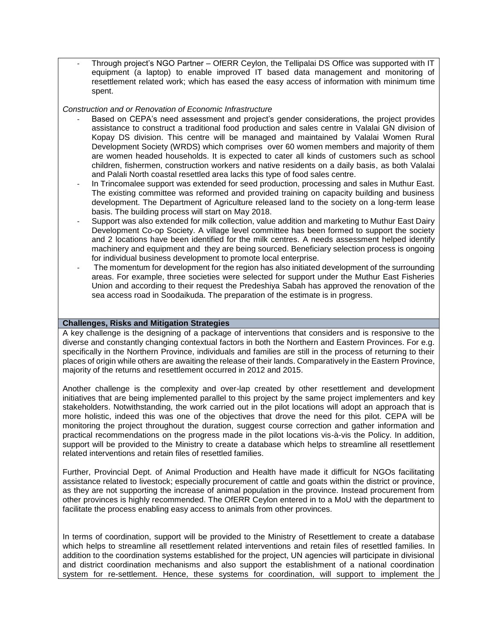Through project's NGO Partner – OfERR Ceylon, the Tellipalai DS Office was supported with IT equipment (a laptop) to enable improved IT based data management and monitoring of resettlement related work; which has eased the easy access of information with minimum time spent.

#### *Construction and or Renovation of Economic Infrastructure*

- Based on CEPA's need assessment and project's gender considerations, the project provides assistance to construct a traditional food production and sales centre in Valalai GN division of Kopay DS division. This centre will be managed and maintained by Valalai Women Rural Development Society (WRDS) which comprises over 60 women members and majority of them are women headed households. It is expected to cater all kinds of customers such as school children, fishermen, construction workers and native residents on a daily basis, as both Valalai and Palali North coastal resettled area lacks this type of food sales centre.
- In Trincomalee support was extended for seed production, processing and sales in Muthur East. The existing committee was reformed and provided training on capacity building and business development. The Department of Agriculture released land to the society on a long-term lease basis. The building process will start on May 2018.
- Support was also extended for milk collection, value addition and marketing to Muthur East Dairy Development Co-op Society. A village level committee has been formed to support the society and 2 locations have been identified for the milk centres. A needs assessment helped identify machinery and equipment and they are being sourced. Beneficiary selection process is ongoing for individual business development to promote local enterprise.
- The momentum for development for the region has also initiated development of the surrounding areas. For example, three societies were selected for support under the Muthur East Fisheries Union and according to their request the Predeshiya Sabah has approved the renovation of the sea access road in Soodaikuda. The preparation of the estimate is in progress.

#### **Challenges, Risks and Mitigation Strategies**

A key challenge is the designing of a package of interventions that considers and is responsive to the diverse and constantly changing contextual factors in both the Northern and Eastern Provinces. For e.g. specifically in the Northern Province, individuals and families are still in the process of returning to their places of origin while others are awaiting the release of their lands. Comparatively in the Eastern Province, majority of the returns and resettlement occurred in 2012 and 2015.

Another challenge is the complexity and over-lap created by other resettlement and development initiatives that are being implemented parallel to this project by the same project implementers and key stakeholders. Notwithstanding, the work carried out in the pilot locations will adopt an approach that is more holistic, indeed this was one of the objectives that drove the need for this pilot. CEPA will be monitoring the project throughout the duration, suggest course correction and gather information and practical recommendations on the progress made in the pilot locations vis-à-vis the Policy. In addition, support will be provided to the Ministry to create a database which helps to streamline all resettlement related interventions and retain files of resettled families.

Further, Provincial Dept. of Animal Production and Health have made it difficult for NGOs facilitating assistance related to livestock; especially procurement of cattle and goats within the district or province, as they are not supporting the increase of animal population in the province. Instead procurement from other provinces is highly recommended. The OfERR Ceylon entered in to a MoU with the department to facilitate the process enabling easy access to animals from other provinces.

In terms of coordination, support will be provided to the Ministry of Resettlement to create a database which helps to streamline all resettlement related interventions and retain files of resettled families. In addition to the coordination systems established for the project, UN agencies will participate in divisional and district coordination mechanisms and also support the establishment of a national coordination system for re-settlement. Hence, these systems for coordination, will support to implement the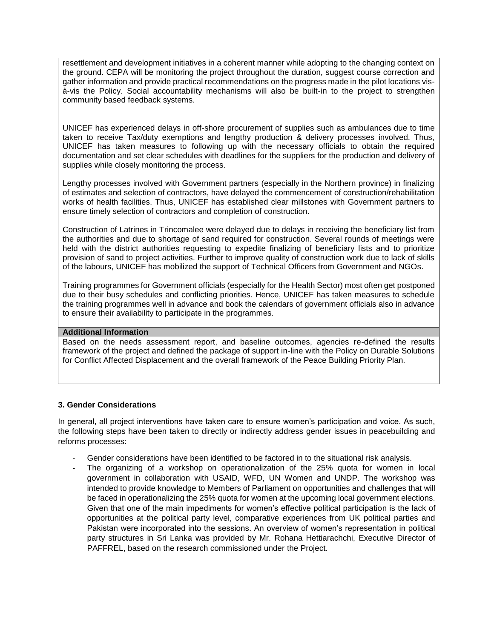resettlement and development initiatives in a coherent manner while adopting to the changing context on the ground. CEPA will be monitoring the project throughout the duration, suggest course correction and gather information and provide practical recommendations on the progress made in the pilot locations visà-vis the Policy. Social accountability mechanisms will also be built-in to the project to strengthen community based feedback systems.

UNICEF has experienced delays in off-shore procurement of supplies such as ambulances due to time taken to receive Tax/duty exemptions and lengthy production & delivery processes involved. Thus, UNICEF has taken measures to following up with the necessary officials to obtain the required documentation and set clear schedules with deadlines for the suppliers for the production and delivery of supplies while closely monitoring the process.

Lengthy processes involved with Government partners (especially in the Northern province) in finalizing of estimates and selection of contractors, have delayed the commencement of construction/rehabilitation works of health facilities. Thus, UNICEF has established clear millstones with Government partners to ensure timely selection of contractors and completion of construction.

Construction of Latrines in Trincomalee were delayed due to delays in receiving the beneficiary list from the authorities and due to shortage of sand required for construction. Several rounds of meetings were held with the district authorities requesting to expedite finalizing of beneficiary lists and to prioritize provision of sand to project activities. Further to improve quality of construction work due to lack of skills of the labours, UNICEF has mobilized the support of Technical Officers from Government and NGOs.

Training programmes for Government officials (especially for the Health Sector) most often get postponed due to their busy schedules and conflicting priorities. Hence, UNICEF has taken measures to schedule the training programmes well in advance and book the calendars of government officials also in advance to ensure their availability to participate in the programmes.

## **Additional Information**

Based on the needs assessment report, and baseline outcomes, agencies re-defined the results framework of the project and defined the package of support in-line with the Policy on Durable Solutions for Conflict Affected Displacement and the overall framework of the Peace Building Priority Plan.

#### **3. Gender Considerations**

In general, all project interventions have taken care to ensure women's participation and voice. As such, the following steps have been taken to directly or indirectly address gender issues in peacebuilding and reforms processes:

- Gender considerations have been identified to be factored in to the situational risk analysis.
- The organizing of a workshop on operationalization of the 25% quota for women in local government in collaboration with USAID, WFD, UN Women and UNDP. The workshop was intended to provide knowledge to Members of Parliament on opportunities and challenges that will be faced in operationalizing the 25% quota for women at the upcoming local government elections. Given that one of the main impediments for women's effective political participation is the lack of opportunities at the political party level, comparative experiences from UK political parties and Pakistan were incorporated into the sessions. An overview of women's representation in political party structures in Sri Lanka was provided by Mr. Rohana Hettiarachchi, Executive Director of PAFFREL, based on the research commissioned under the Project.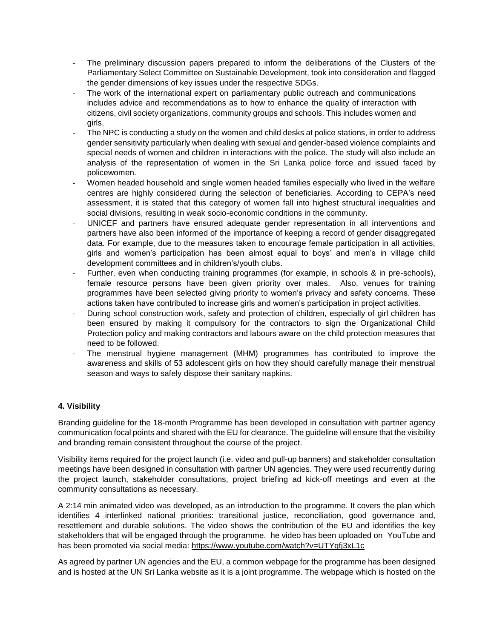- The preliminary discussion papers prepared to inform the deliberations of the Clusters of the Parliamentary Select Committee on Sustainable Development, took into consideration and flagged the gender dimensions of key issues under the respective SDGs.
- The work of the international expert on parliamentary public outreach and communications includes advice and recommendations as to how to enhance the quality of interaction with citizens, civil society organizations, community groups and schools. This includes women and girls.
- The NPC is conducting a study on the women and child desks at police stations, in order to address gender sensitivity particularly when dealing with sexual and gender-based violence complaints and special needs of women and children in interactions with the police. The study will also include an analysis of the representation of women in the Sri Lanka police force and issued faced by policewomen.
- Women headed household and single women headed families especially who lived in the welfare centres are highly considered during the selection of beneficiaries. According to CEPA's need assessment, it is stated that this category of women fall into highest structural inequalities and social divisions, resulting in weak socio-economic conditions in the community.
- UNICEF and partners have ensured adequate gender representation in all interventions and partners have also been informed of the importance of keeping a record of gender disaggregated data. For example, due to the measures taken to encourage female participation in all activities, girls and women's participation has been almost equal to boys' and men's in village child development committees and in children's/youth clubs.
- Further, even when conducting training programmes (for example, in schools & in pre-schools), female resource persons have been given priority over males. Also, venues for training programmes have been selected giving priority to women's privacy and safety concerns. These actions taken have contributed to increase girls and women's participation in project activities.
- During school construction work, safety and protection of children, especially of girl children has been ensured by making it compulsory for the contractors to sign the Organizational Child Protection policy and making contractors and labours aware on the child protection measures that need to be followed.
- The menstrual hygiene management (MHM) programmes has contributed to improve the awareness and skills of 53 adolescent girls on how they should carefully manage their menstrual season and ways to safely dispose their sanitary napkins.

## **4. Visibility**

Branding guideline for the 18-month Programme has been developed in consultation with partner agency communication focal points and shared with the EU for clearance. The guideline will ensure that the visibility and branding remain consistent throughout the course of the project.

Visibility items required for the project launch (i.e. video and pull-up banners) and stakeholder consultation meetings have been designed in consultation with partner UN agencies. They were used recurrently during the project launch, stakeholder consultations, project briefing ad kick-off meetings and even at the community consultations as necessary.

A 2:14 min animated video was developed, as an introduction to the programme. It covers the plan which identifies 4 interlinked national priorities: transitional justice, reconciliation, good governance and, resettlement and durable solutions. The video shows the contribution of the EU and identifies the key stakeholders that will be engaged through the programme. he video has been uploaded on YouTube and has been promoted via social media:<https://www.youtube.com/watch?v=UTYgfj3xL1c>

As agreed by partner UN agencies and the EU, a common webpage for the programme has been designed and is hosted at the UN Sri Lanka website as it is a joint programme. The webpage which is hosted on the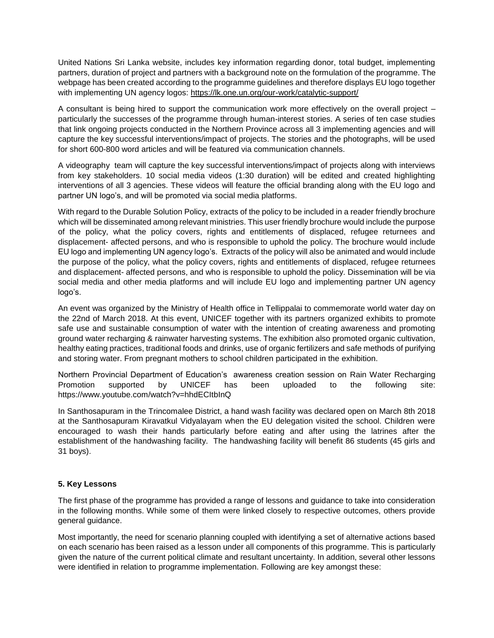United Nations Sri Lanka website, includes key information regarding donor, total budget, implementing partners, duration of project and partners with a background note on the formulation of the programme. The webpage has been created according to the programme guidelines and therefore displays EU logo together with implementing UN agency logos:<https://lk.one.un.org/our-work/catalytic-support/>

A consultant is being hired to support the communication work more effectively on the overall project – particularly the successes of the programme through human-interest stories. A series of ten case studies that link ongoing projects conducted in the Northern Province across all 3 implementing agencies and will capture the key successful interventions/impact of projects. The stories and the photographs, will be used for short 600-800 word articles and will be featured via communication channels.

A videography team will capture the key successful interventions/impact of projects along with interviews from key stakeholders. 10 social media videos (1:30 duration) will be edited and created highlighting interventions of all 3 agencies. These videos will feature the official branding along with the EU logo and partner UN logo's, and will be promoted via social media platforms.

With regard to the Durable Solution Policy, extracts of the policy to be included in a reader friendly brochure which will be disseminated among relevant ministries. This user friendly brochure would include the purpose of the policy, what the policy covers, rights and entitlements of displaced, refugee returnees and displacement- affected persons, and who is responsible to uphold the policy. The brochure would include EU logo and implementing UN agency logo's. Extracts of the policy will also be animated and would include the purpose of the policy, what the policy covers, rights and entitlements of displaced, refugee returnees and displacement- affected persons, and who is responsible to uphold the policy. Dissemination will be via social media and other media platforms and will include EU logo and implementing partner UN agency logo's.

An event was organized by the Ministry of Health office in Tellippalai to commemorate world water day on the 22nd of March 2018. At this event, UNICEF together with its partners organized exhibits to promote safe use and sustainable consumption of water with the intention of creating awareness and promoting ground water recharging & rainwater harvesting systems. The exhibition also promoted organic cultivation, healthy eating practices, traditional foods and drinks, use of organic fertilizers and safe methods of purifying and storing water. From pregnant mothers to school children participated in the exhibition.

Northern Provincial Department of Education's awareness creation session on Rain Water Recharging Promotion supported by UNICEF has been uploaded to the following site: <https://www.youtube.com/watch?v=hhdECItbInQ>

In Santhosapuram in the Trincomalee District, a hand wash facility was declared open on March 8th 2018 at the Santhosapuram Kiravatkul Vidyalayam when the EU delegation visited the school. Children were encouraged to wash their hands particularly before eating and after using the latrines after the establishment of the handwashing facility. The handwashing facility will benefit 86 students (45 girls and 31 boys).

## **5. Key Lessons**

The first phase of the programme has provided a range of lessons and guidance to take into consideration in the following months. While some of them were linked closely to respective outcomes, others provide general guidance.

Most importantly, the need for scenario planning coupled with identifying a set of alternative actions based on each scenario has been raised as a lesson under all components of this programme. This is particularly given the nature of the current political climate and resultant uncertainty. In addition, several other lessons were identified in relation to programme implementation. Following are key amongst these: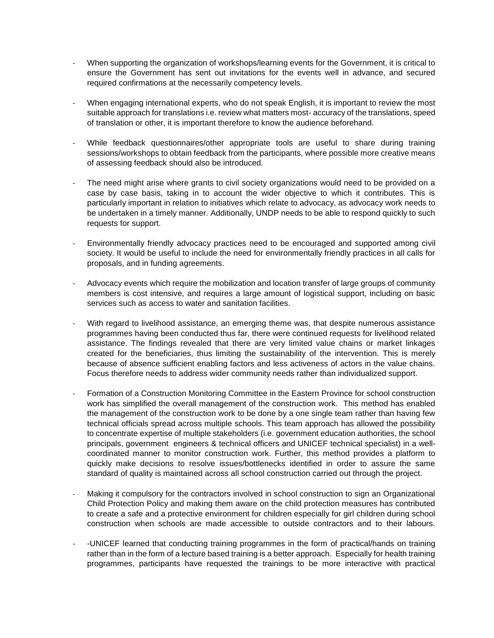- When supporting the organization of workshops/learning events for the Government, it is critical to ensure the Government has sent out invitations for the events well in advance, and secured required confirmations at the necessarily competency levels.
- When engaging international experts, who do not speak English, it is important to review the most suitable approach for translations i.e. review what matters most- accuracy of the translations, speed of translation or other, it is important therefore to know the audience beforehand.
- While feedback questionnaires/other appropriate tools are useful to share during training sessions/workshops to obtain feedback from the participants, where possible more creative means of assessing feedback should also be introduced.
- The need might arise where grants to civil society organizations would need to be provided on a case by case basis, taking in to account the wider objective to which it contributes. This is particularly important in relation to initiatives which relate to advocacy, as advocacy work needs to be undertaken in a timely manner. Additionally, UNDP needs to be able to respond quickly to such requests for support.
- Environmentally friendly advocacy practices need to be encouraged and supported among civil society. It would be useful to include the need for environmentally friendly practices in all calls for proposals, and in funding agreements.
- Advocacy events which require the mobilization and location transfer of large groups of community members is cost intensive, and requires a large amount of logistical support, including on basic services such as access to water and sanitation facilities.
- With regard to livelihood assistance, an emerging theme was, that despite numerous assistance programmes having been conducted thus far, there were continued requests for livelihood related assistance. The findings revealed that there are very limited value chains or market linkages created for the beneficiaries, thus limiting the sustainability of the intervention. This is merely because of absence sufficient enabling factors and less activeness of actors in the value chains. Focus therefore needs to address wider community needs rather than individualized support.
- Formation of a Construction Monitoring Committee in the Eastern Province for school construction work has simplified the overall management of the construction work. This method has enabled the management of the construction work to be done by a one single team rather than having few technical officials spread across multiple schools. This team approach has allowed the possibility to concentrate expertise of multiple stakeholders (i.e. government education authorities, the school principals, government engineers & technical officers and UNICEF technical specialist) in a wellcoordinated manner to monitor construction work. Further, this method provides a platform to quickly make decisions to resolve issues/bottlenecks identified in order to assure the same standard of quality is maintained across all school construction carried out through the project.
- Making it compulsory for the contractors involved in school construction to sign an Organizational Child Protection Policy and making them aware on the child protection measures has contributed to create a safe and a protective environment for children especially for girl children during school construction when schools are made accessible to outside contractors and to their labours.
- -UNICEF learned that conducting training programmes in the form of practical/hands on training rather than in the form of a lecture based training is a better approach. Especially for health training programmes, participants have requested the trainings to be more interactive with practical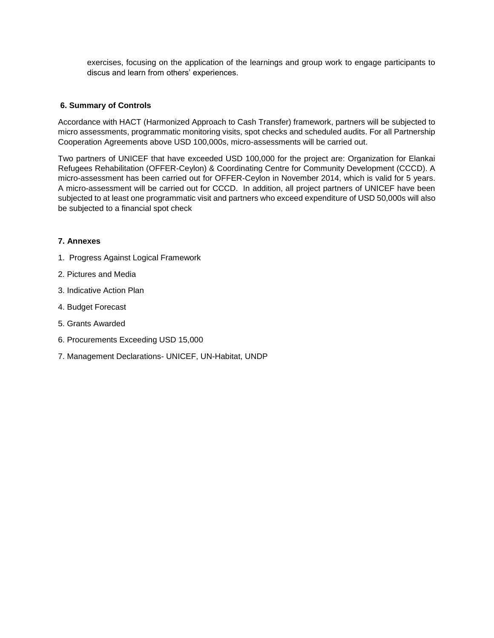exercises, focusing on the application of the learnings and group work to engage participants to discus and learn from others' experiences.

## **6. Summary of Controls**

Accordance with HACT (Harmonized Approach to Cash Transfer) framework, partners will be subjected to micro assessments, programmatic monitoring visits, spot checks and scheduled audits. For all Partnership Cooperation Agreements above USD 100,000s, micro-assessments will be carried out.

Two partners of UNICEF that have exceeded USD 100,000 for the project are: Organization for Elankai Refugees Rehabilitation (OFFER-Ceylon) & Coordinating Centre for Community Development (CCCD). A micro-assessment has been carried out for OFFER-Ceylon in November 2014, which is valid for 5 years. A micro-assessment will be carried out for CCCD. In addition, all project partners of UNICEF have been subjected to at least one programmatic visit and partners who exceed expenditure of USD 50,000s will also be subjected to a financial spot check

## **7. Annexes**

- 1. Progress Against Logical Framework
- 2. Pictures and Media
- 3. Indicative Action Plan
- 4. Budget Forecast
- 5. Grants Awarded
- 6. Procurements Exceeding USD 15,000
- 7. Management Declarations- UNICEF, UN-Habitat, UNDP